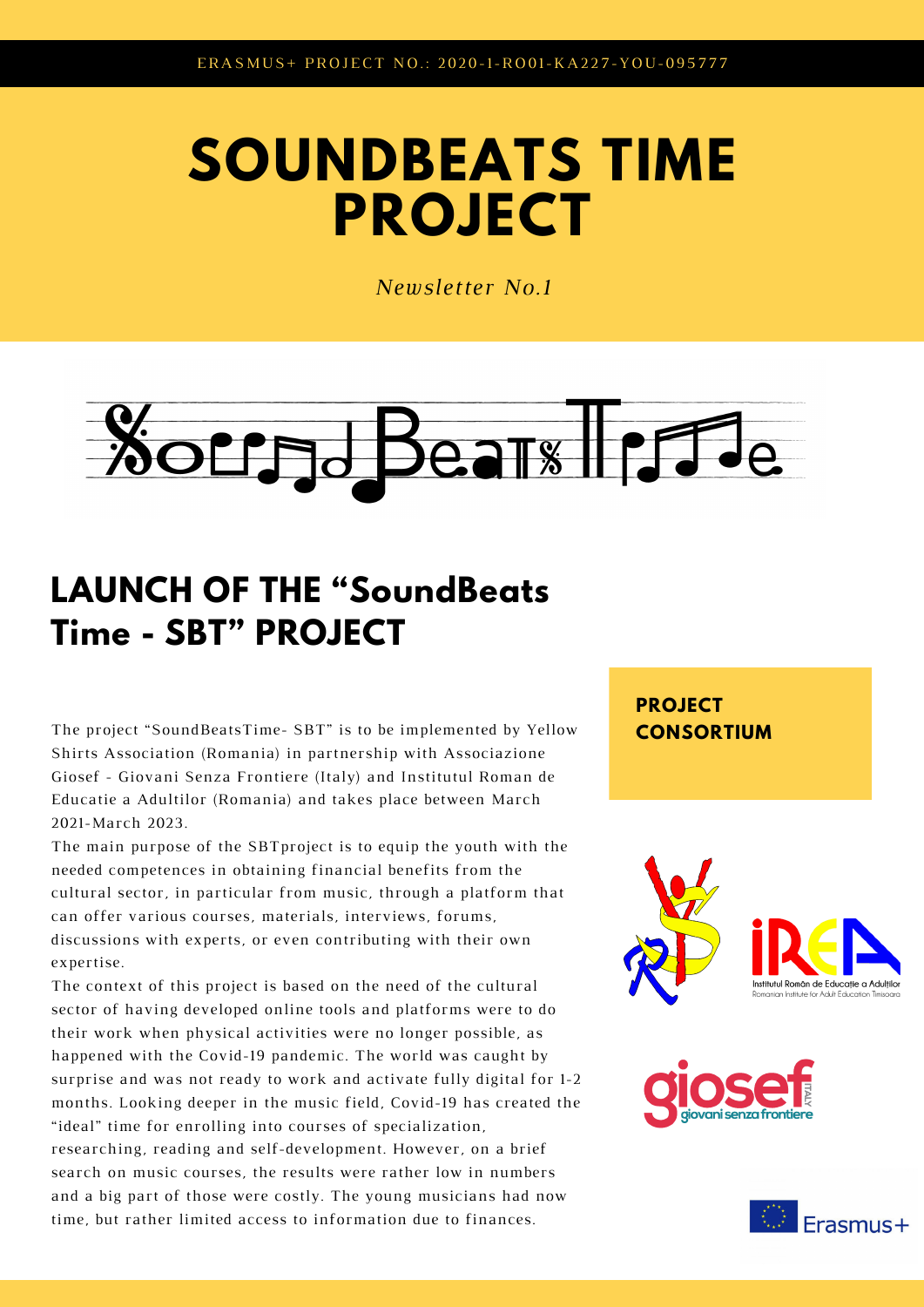## **SOUNDBEATS TIME PROJECT**

*Newsletter No.1*



## **LAUNCH OF THE "SoundBeats Time - SBT" PROJECT**

The project "SoundBeatsTime- SBT" is to be implemented by Yellow **CONSORTIUM** Shirts Association (Romania) in partnership with Associazione Giosef - Giovani Senza Frontiere (Italy) and Institutul Roman de Educatie a Adultilor (Romania) and takes place between March 2021-March 2023.

The main purpose of the SBTproject is to equip the youth with the needed competences in obtaining financial benefits from the cultural sector, in particular from music, through a platform that can offer various courses, materials, interviews, forums, discussions with experts, or even contributing with their own expertise.

The context of this project is based on the need of the cultural sector of having developed online tools and platforms were to do their work when physical activities were no longer possible, as happened with the Covid-19 pandemic. The world was caught by surprise and was not ready to work and activate fully digital for 1-2 months. Looking deeper in the music field, Covid-19 has created the "ideal" time for enrolling into courses of specialization, researching, reading and self-development. However, on a brief search on music courses, the results were rather low in numbers and a big part of those were costly. The young musicians had now time, but rather limited access to information due to finances.

**PROJECT**